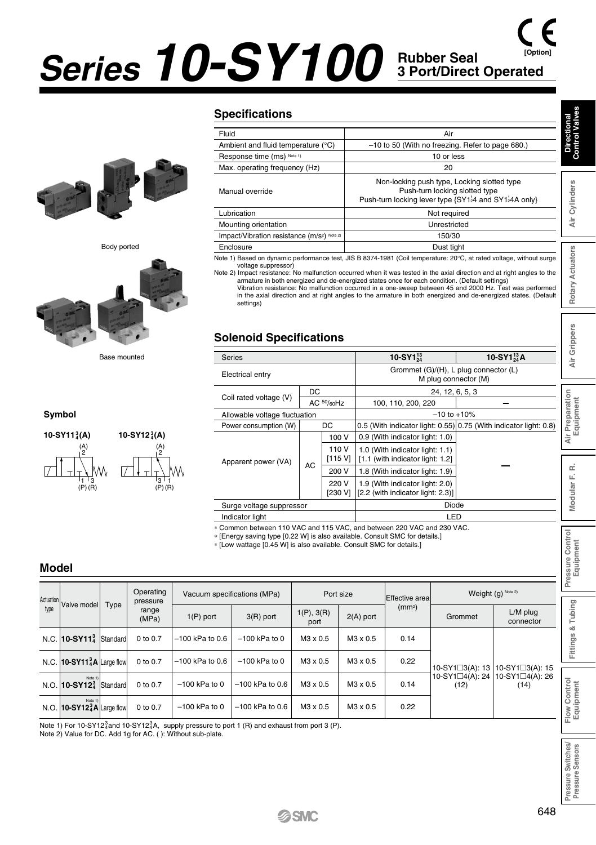# *Series 10-SY100* **Rubber Seal 3 Port/Direct Operated [Option]**



Body ported



Base mounted

 $^{3}_{4}$ (A) 10-SY12<sup>3</sup><sub>4</sub>(A)

Г

(A) 2

'3 ' 1<br>(P) (R)

#### **Specifications**

| <b>Specifications</b>                                  |                                                                                                                                                                                                                                                                                                                                                                                                                                                                                                                                                                               | h.                   |  |  |  |  |  |  |
|--------------------------------------------------------|-------------------------------------------------------------------------------------------------------------------------------------------------------------------------------------------------------------------------------------------------------------------------------------------------------------------------------------------------------------------------------------------------------------------------------------------------------------------------------------------------------------------------------------------------------------------------------|----------------------|--|--|--|--|--|--|
| Fluid                                                  | Air                                                                                                                                                                                                                                                                                                                                                                                                                                                                                                                                                                           | Directional<br>omtro |  |  |  |  |  |  |
| Ambient and fluid temperature (°C)                     | -10 to 50 (With no freezing. Refer to page 680.)                                                                                                                                                                                                                                                                                                                                                                                                                                                                                                                              |                      |  |  |  |  |  |  |
| Response time (ms) Note 1)                             | 10 or less                                                                                                                                                                                                                                                                                                                                                                                                                                                                                                                                                                    | د                    |  |  |  |  |  |  |
| Max. operating frequency (Hz)                          | 20                                                                                                                                                                                                                                                                                                                                                                                                                                                                                                                                                                            |                      |  |  |  |  |  |  |
| Manual override                                        | Non-locking push type, Locking slotted type<br>Push-turn locking slotted type<br>Push-turn locking lever type {SY1}4 and SY1}4A only}                                                                                                                                                                                                                                                                                                                                                                                                                                         | S<br>Cylinder:       |  |  |  |  |  |  |
| Lubrication                                            | Not required                                                                                                                                                                                                                                                                                                                                                                                                                                                                                                                                                                  |                      |  |  |  |  |  |  |
| Mounting orientation                                   | Unrestricted                                                                                                                                                                                                                                                                                                                                                                                                                                                                                                                                                                  | à                    |  |  |  |  |  |  |
| Impact/Vibration resistance (m/s <sup>2) Note 2)</sup> | 150/30                                                                                                                                                                                                                                                                                                                                                                                                                                                                                                                                                                        |                      |  |  |  |  |  |  |
| Enclosure                                              | Dust tight                                                                                                                                                                                                                                                                                                                                                                                                                                                                                                                                                                    |                      |  |  |  |  |  |  |
| voltage suppressor)<br>cottings)                       | Note 1) Based on dynamic performance test, JIS B 8374-1981 (Coil temperature: 20°C, at rated voltage, without surge<br>Note 2) Impact resistance: No malfunction occurred when it was tested in the axial direction and at right angles to the<br>armature in both energized and de-energized states once for each condition. (Default settings)<br>Vibration resistance: No malfunction occurred in a one-sweep between 45 and 2000 Hz. Test was performed<br>in the axial direction and at right angles to the armature in both energized and de-energized states. (Default | Actuators<br>Rotary  |  |  |  |  |  |  |

#### **Solenoid Specifications**

|                                                                                                                                                                                                                                                                                                                                                                                                                                                                                                                                                                                                                   | Manual override                                                                                                                                                                                                               |                    |                                                        |  | ivon-locking push type, Locking slotted type<br>Push-turn locking slotted type<br>Push-turn locking lever type {SY124 and SY124A only}                                                                            |                                       |                              |                                    |                       |                               |  |  |  |
|-------------------------------------------------------------------------------------------------------------------------------------------------------------------------------------------------------------------------------------------------------------------------------------------------------------------------------------------------------------------------------------------------------------------------------------------------------------------------------------------------------------------------------------------------------------------------------------------------------------------|-------------------------------------------------------------------------------------------------------------------------------------------------------------------------------------------------------------------------------|--------------------|--------------------------------------------------------|--|-------------------------------------------------------------------------------------------------------------------------------------------------------------------------------------------------------------------|---------------------------------------|------------------------------|------------------------------------|-----------------------|-------------------------------|--|--|--|
|                                                                                                                                                                                                                                                                                                                                                                                                                                                                                                                                                                                                                   | Lubrication                                                                                                                                                                                                                   |                    |                                                        |  |                                                                                                                                                                                                                   |                                       | Not required                 |                                    |                       | Air Cylinders                 |  |  |  |
|                                                                                                                                                                                                                                                                                                                                                                                                                                                                                                                                                                                                                   | Mounting orientation                                                                                                                                                                                                          |                    |                                                        |  |                                                                                                                                                                                                                   |                                       | Unrestricted                 |                                    |                       |                               |  |  |  |
|                                                                                                                                                                                                                                                                                                                                                                                                                                                                                                                                                                                                                   | Impact/Vibration resistance (m/s <sup>2) Note 2)</sup>                                                                                                                                                                        |                    |                                                        |  | 150/30                                                                                                                                                                                                            |                                       |                              |                                    |                       |                               |  |  |  |
|                                                                                                                                                                                                                                                                                                                                                                                                                                                                                                                                                                                                                   | Enclosure                                                                                                                                                                                                                     |                    |                                                        |  | Dust tight                                                                                                                                                                                                        |                                       |                              |                                    |                       |                               |  |  |  |
| Note 1) Based on dynamic performance test, JIS B 8374-1981 (Coil temperature: 20°C, at rated voltage, without surge<br>voltage suppressor)<br>Note 2) Impact resistance: No malfunction occurred when it was tested in the axial direction and at right angles to the<br>armature in both energized and de-energized states once for each condition. (Default settings)<br>Vibration resistance: No malfunction occurred in a one-sweep between 45 and 2000 Hz. Test was performed<br>in the axial direction and at right angles to the armature in both energized and de-energized states. (Default<br>settings) |                                                                                                                                                                                                                               |                    |                                                        |  |                                                                                                                                                                                                                   |                                       |                              |                                    |                       |                               |  |  |  |
|                                                                                                                                                                                                                                                                                                                                                                                                                                                                                                                                                                                                                   | <b>Solenoid Specifications</b><br><b>Series</b>                                                                                                                                                                               |                    |                                                        |  |                                                                                                                                                                                                                   | 10-SY $1^{13}_{24}$                   |                              |                                    | 10-SY $1^{13}_{24}$ A | Air Grippers                  |  |  |  |
|                                                                                                                                                                                                                                                                                                                                                                                                                                                                                                                                                                                                                   | Electrical entry                                                                                                                                                                                                              |                    |                                                        |  |                                                                                                                                                                                                                   | Grommet (G)/(H), L plug connector (L) | 24, 12, 6, 5, 3              | M plug connector (M)               |                       |                               |  |  |  |
| DC.<br>Coil rated voltage (V)<br>AC 50/60Hz                                                                                                                                                                                                                                                                                                                                                                                                                                                                                                                                                                       |                                                                                                                                                                                                                               |                    |                                                        |  | 100, 110, 200, 220                                                                                                                                                                                                |                                       | Air Preparation<br>Equipment |                                    |                       |                               |  |  |  |
|                                                                                                                                                                                                                                                                                                                                                                                                                                                                                                                                                                                                                   | Allowable voltage fluctuation                                                                                                                                                                                                 |                    |                                                        |  | $-10$ to $+10%$                                                                                                                                                                                                   |                                       |                              |                                    |                       |                               |  |  |  |
|                                                                                                                                                                                                                                                                                                                                                                                                                                                                                                                                                                                                                   | Power consumption (W)                                                                                                                                                                                                         |                    | DC                                                     |  | 0.5 (With indicator light: 0.55) 0.75 (With indicator light: 0.8)                                                                                                                                                 |                                       |                              |                                    |                       |                               |  |  |  |
| Apparent power (VA)<br><b>AC</b>                                                                                                                                                                                                                                                                                                                                                                                                                                                                                                                                                                                  |                                                                                                                                                                                                                               |                    | 100 V<br>110 V<br>[115 V]<br>200 V<br>220 V<br>[230 V] |  | 0.9 (With indicator light: 1.0)<br>1.0 (With indicator light: 1.1)<br>[1.1 (with indicator light: 1.2]<br>1.8 (With indicator light: 1.9)<br>1.9 (With indicator light: 2.0)<br>[2.2 (with indicator light: 2.3)] |                                       |                              |                                    |                       | œ<br>L.                       |  |  |  |
|                                                                                                                                                                                                                                                                                                                                                                                                                                                                                                                                                                                                                   | Surge voltage suppressor<br>Indicator light                                                                                                                                                                                   |                    |                                                        |  |                                                                                                                                                                                                                   |                                       | Diode<br>LED                 |                                    |                       | Modular                       |  |  |  |
|                                                                                                                                                                                                                                                                                                                                                                                                                                                                                                                                                                                                                   | * Common between 110 VAC and 115 VAC, and between 220 VAC and 230 VAC.<br>* [Energy saving type [0.22 W] is also available. Consult SMC for details.]<br>* [Low wattage [0.45 W] is also available. Consult SMC for details.] |                    |                                                        |  |                                                                                                                                                                                                                   |                                       |                              |                                    |                       | Pressure Control<br>Equipment |  |  |  |
|                                                                                                                                                                                                                                                                                                                                                                                                                                                                                                                                                                                                                   | specifications (MPa)                                                                                                                                                                                                          |                    | Port size                                              |  | Effective area                                                                                                                                                                                                    |                                       | Weight (g) Note 2)           |                                    |                       |                               |  |  |  |
| $\ddot{\phantom{1}}$                                                                                                                                                                                                                                                                                                                                                                                                                                                                                                                                                                                              | $3(R)$ port                                                                                                                                                                                                                   | 1(P), 3(R)<br>port |                                                        |  | (mm <sup>2</sup> )<br>$2(A)$ port                                                                                                                                                                                 |                                       |                              | $L/M$ plug<br>Grommet<br>connector |                       | Fittings & Tubing             |  |  |  |
| 0.6                                                                                                                                                                                                                                                                                                                                                                                                                                                                                                                                                                                                               | $-100$ kPa to 0                                                                                                                                                                                                               | M3 x 0.5           |                                                        |  | M3 x 0.5                                                                                                                                                                                                          | 0.14                                  |                              |                                    |                       |                               |  |  |  |
|                                                                                                                                                                                                                                                                                                                                                                                                                                                                                                                                                                                                                   |                                                                                                                                                                                                                               |                    |                                                        |  |                                                                                                                                                                                                                   |                                       |                              |                                    |                       |                               |  |  |  |

#### **Model**

**Symbol**  $10-SY11_A^3(A)$ 

 $\overline{L}$ 

(A) 2

'1 '3<br>(P) (R)

|           | * [Energy saving type [0.22 W] is also available. Consult SMC for details.]<br>* [Low wattage [0.45 W] is also available. Consult SMC for details.]<br><b>Model</b> |      |                       |                   |                             |                    |             |                    |                                   |                                  |                           |  |  |  |
|-----------|---------------------------------------------------------------------------------------------------------------------------------------------------------------------|------|-----------------------|-------------------|-----------------------------|--------------------|-------------|--------------------|-----------------------------------|----------------------------------|---------------------------|--|--|--|
| Actuation |                                                                                                                                                                     |      | Operating<br>pressure |                   | Vacuum specifications (MPa) |                    | Port size   | Effective areal    |                                   | Weight (g) Note 2)               |                           |  |  |  |
| type      | Valve model                                                                                                                                                         | Type | range<br>(MPa)        | $1(P)$ port       | $3(R)$ port                 | 1(P), 3(R)<br>port | $2(A)$ port | (mm <sup>2</sup> ) | Grommet                           | L/M plug<br>connector            | ubing                     |  |  |  |
|           | N.C. 10-SY11 <sup>3</sup> Standard                                                                                                                                  |      | 0 to 0.7              | $-100$ kPa to 0.6 | $-100$ kPa to 0             | M3 x 0.5           | M3 x 0.5    | 0.14               |                                   |                                  | očí<br>ngs                |  |  |  |
|           | N.C. 10-SY11 <sup>3</sup> A Large flow                                                                                                                              |      | 0 to 0.7              | $-100$ kPa to 0.6 | $-100$ kPa to 0             | M3 x 0.5           | M3 x 0.5    | 0.22               | 10-SY1□3(A): 13   10-SY1□3(A): 15 |                                  | Ē                         |  |  |  |
|           | Note 1)<br>N.O. 10-SY12 <sup>3</sup> Standard                                                                                                                       |      | 0 to 0.7              | $-100$ kPa to 0   | $-100$ kPa to 0.6           | M3 x 0.5           | M3 x 0.5    | 0.14               | 10-SY1□4(A): 24<br>(12)           | $10-SY1\square 4(A): 26$<br>(14) |                           |  |  |  |
|           | Note 1)<br>N.O. 10-SY12 <sup>3</sup> A Large flow                                                                                                                   |      | 0 to 0.7              | $-100$ kPa to 0   | $-100$ kPa to 0.6           | M3 x 0.5           | M3 x 0.5    | 0.22               |                                   |                                  | Flow Control<br>Equipment |  |  |  |
|           |                                                                                                                                                                     |      |                       |                   |                             |                    |             |                    |                                   |                                  |                           |  |  |  |

Note 1) For 10-SY12 $_4^3$ and 10-SY12 $_4^3$ A, supply pressure to port 1 (R) and exhaust from port 3 (P).

Note 2) Value for DC. Add 1g for AC. ( ): Without sub-plate.

**Pressure Switches/ Pressure Sensors**

Pressure Switches/<br>Pressure Sensors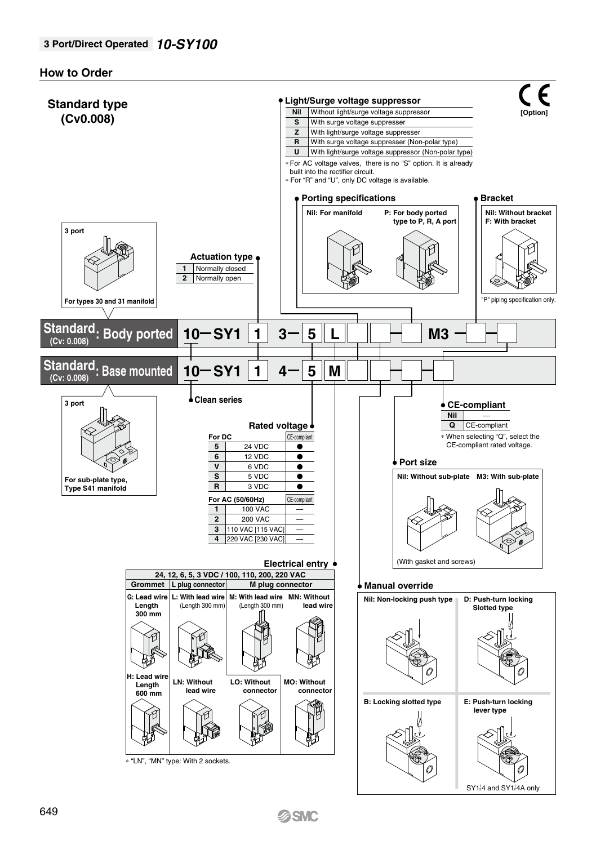#### **How to Order**

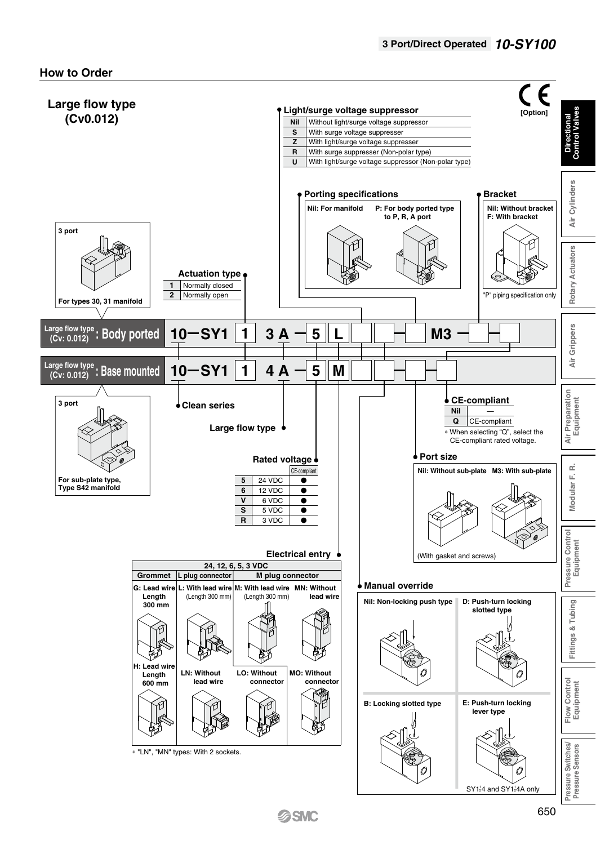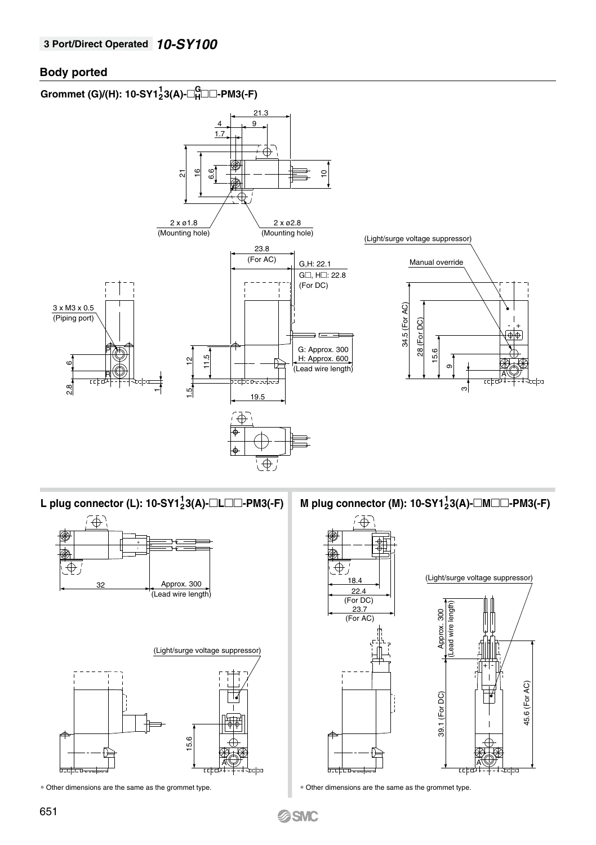#### **Body ported**

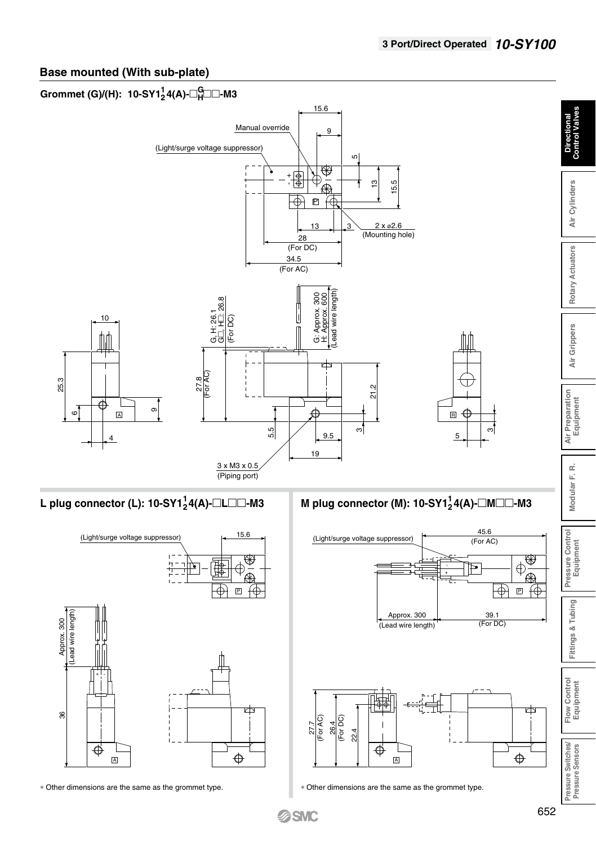# **Base mounted (With sub-plate)**

# $\mathsf{Grommet}\left(\mathsf{G}\right)$ /(H): 10-SY1 $^1_2$ 4(A)- $\Box^{\mathsf{G}}_{{\mathsf{H}}}$ □ $\Box$ -M3

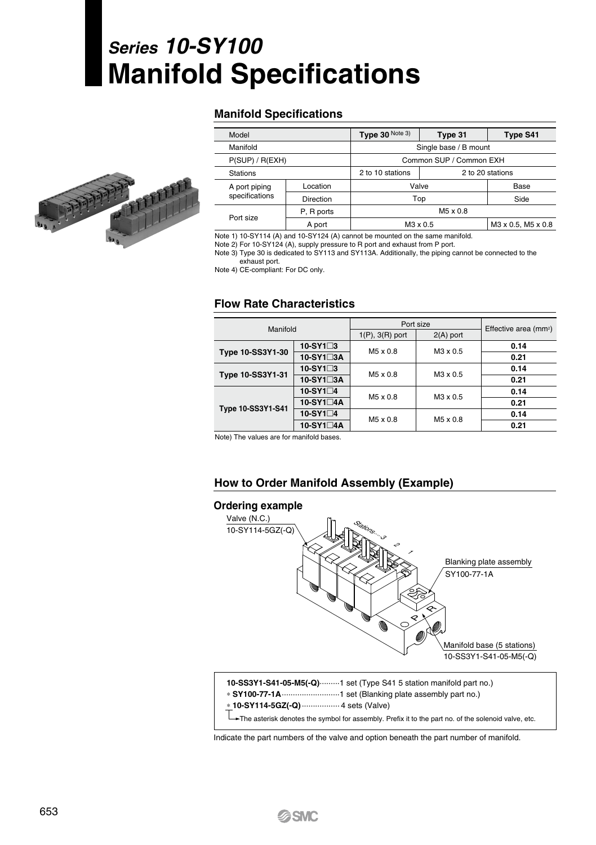# *Series 10-SY100* **Manifold Specifications**

#### **Manifold Specifications**

| Model           |            | Type 30 Note 3)                      | Type 31                 | Type S41 |  |  |  |  |
|-----------------|------------|--------------------------------------|-------------------------|----------|--|--|--|--|
| Manifold        |            | Single base / B mount                |                         |          |  |  |  |  |
| P(SUP) / R(EXH) |            |                                      | Common SUP / Common EXH |          |  |  |  |  |
| <b>Stations</b> |            | 2 to 10 stations<br>2 to 20 stations |                         |          |  |  |  |  |
| A port piping   | Location   | Valve                                |                         | Base     |  |  |  |  |
| specifications  | Direction  |                                      | Top                     | Side     |  |  |  |  |
| Port size       | P, R ports |                                      | M5 x 0.8                |          |  |  |  |  |
|                 | A port     |                                      | M3 x 0.5                |          |  |  |  |  |

Note 1) 10-SY114 (A) and 10-SY124 (A) cannot be mounted on the same manifold.

Note 2) For 10-SY124 (A), supply pressure to R port and exhaust from P port.

Note 3) Type 30 is dedicated to SY113 and SY113A. Additionally, the piping cannot be connected to the exhaust port.

Note 4) CE-compliant: For DC only.

#### **Flow Rate Characteristics**

| Manifold          |                   | Port size            | Effective area (mm <sup>2</sup> ) |      |  |
|-------------------|-------------------|----------------------|-----------------------------------|------|--|
|                   |                   | $1(P)$ , $3(R)$ port | $2(A)$ port                       |      |  |
|                   | $10-SY1\square 3$ | M5 x 0.8             | M3 x 0.5                          | 0.14 |  |
| Type 10-SS3Y1-30  | 10-SY1□3A         |                      |                                   | 0.21 |  |
| Type 10-SS3Y1-31  | 10-SY1□3          | M5 x 0.8             | M3 x 0.5                          | 0.14 |  |
|                   | 10-SY1□3A         |                      |                                   | 0.21 |  |
| Type 10-SS3Y1-S41 | 10-SY1□4          | M5 x 0.8             | M3 x 0.5                          | 0.14 |  |
|                   | 10-SY1□4A         |                      |                                   | 0.21 |  |
|                   | 10-SY1□4          | M5 x 0.8             | M5 x 0.8                          | 0.14 |  |
|                   | 10-SY1□4A         |                      |                                   | 0.21 |  |

Note) The values are for manifold bases.

#### **How to Order Manifold Assembly (Example)**



Indicate the part numbers of the valve and option beneath the part number of manifold.

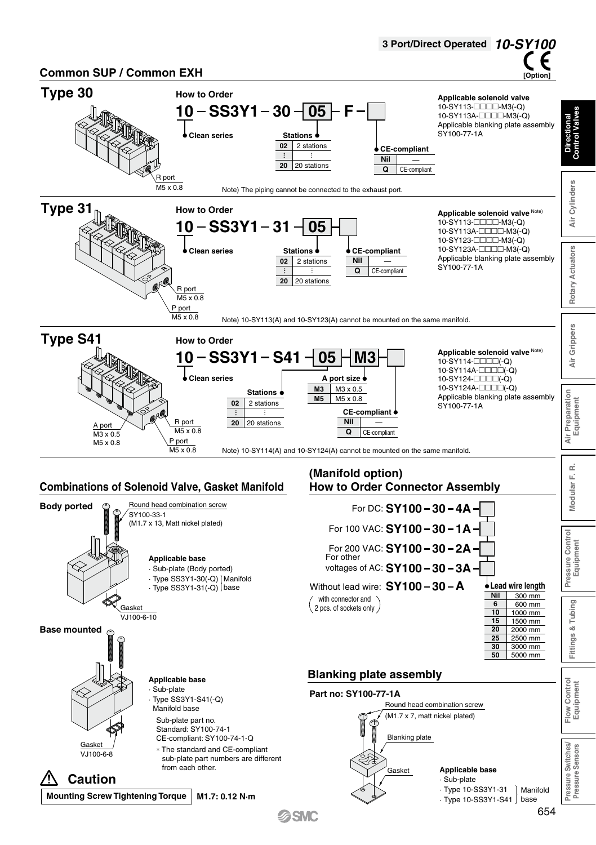

**G**SMC

654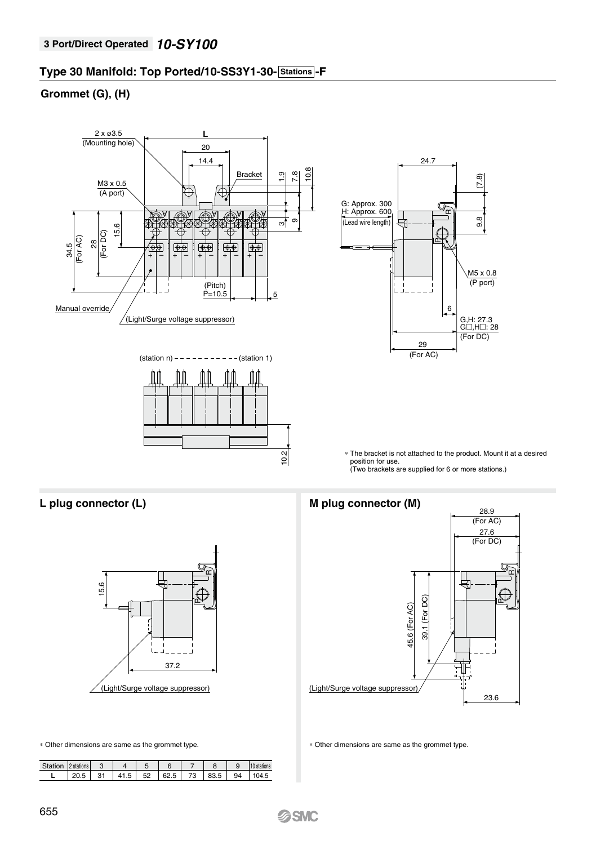# **Type 30 Manifold: Top Ported/10-SS3Y1-30- Stations - F**

## **Grommet (G), (H)**





| Station | l 2 stations l |    |     |      |    |    |      |
|---------|----------------|----|-----|------|----|----|------|
|         |                | 41 | r o | 62 5 | 79 | QA | 74 5 |

#### **L plug connector (L) M plug connector (M)**



∗ Other dimensions are same as the grommet type. ∗ Other dimensions are same as the grommet type.

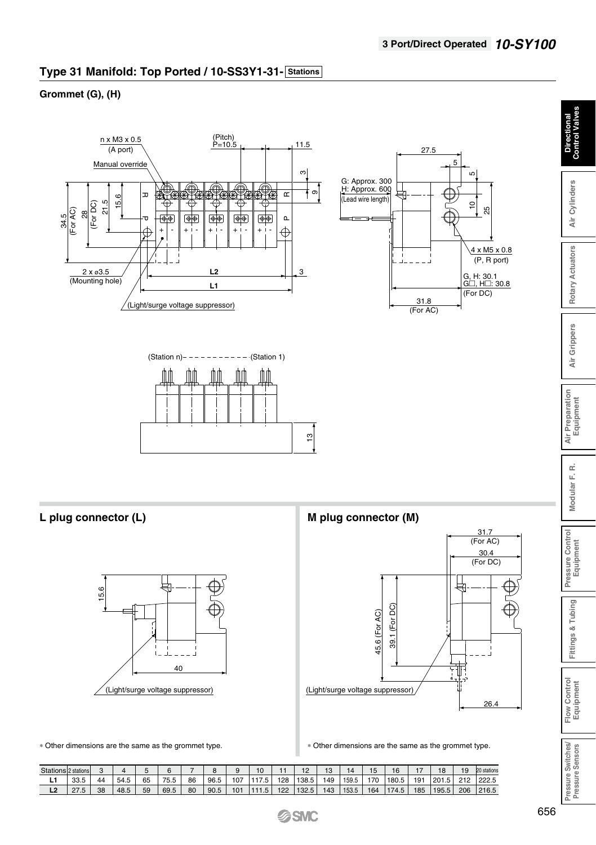# **Type 31 Manifold: Top Ported / 10-SS3Y1-31- Stations**

### **Grommet (G), (H)**







**L plug connector (L) M plug connector (M)**





∗ Other dimensions are the same as the grommet type. ∗ Other dimensions are the same as the grommet type.

| Stations 2 stations |      |    |      |    |      |    |      |     |                    |     |               |     |       |     |       |     |       | 19  | 20 stations |
|---------------------|------|----|------|----|------|----|------|-----|--------------------|-----|---------------|-----|-------|-----|-------|-----|-------|-----|-------------|
| . .                 | 33.5 | 44 | 54.5 | 65 | 75.5 | 86 | 96.5 | 107 | 117.5 <sub>1</sub> | 128 | 1138.5        | 149 | 159.5 | 170 | 180.5 | 191 | 201.5 | 212 | 222.5       |
| ᇈ                   | 27.5 | 38 | 48.5 | 59 | 69.5 | 80 | 90.5 | 101 | 111.5              |     | $122$   132.5 | 143 | 153.5 | 164 | 174.5 | 185 | 195.5 | 206 | 216.5       |

**Directional Control Valves**

Directional<br>Control Valves